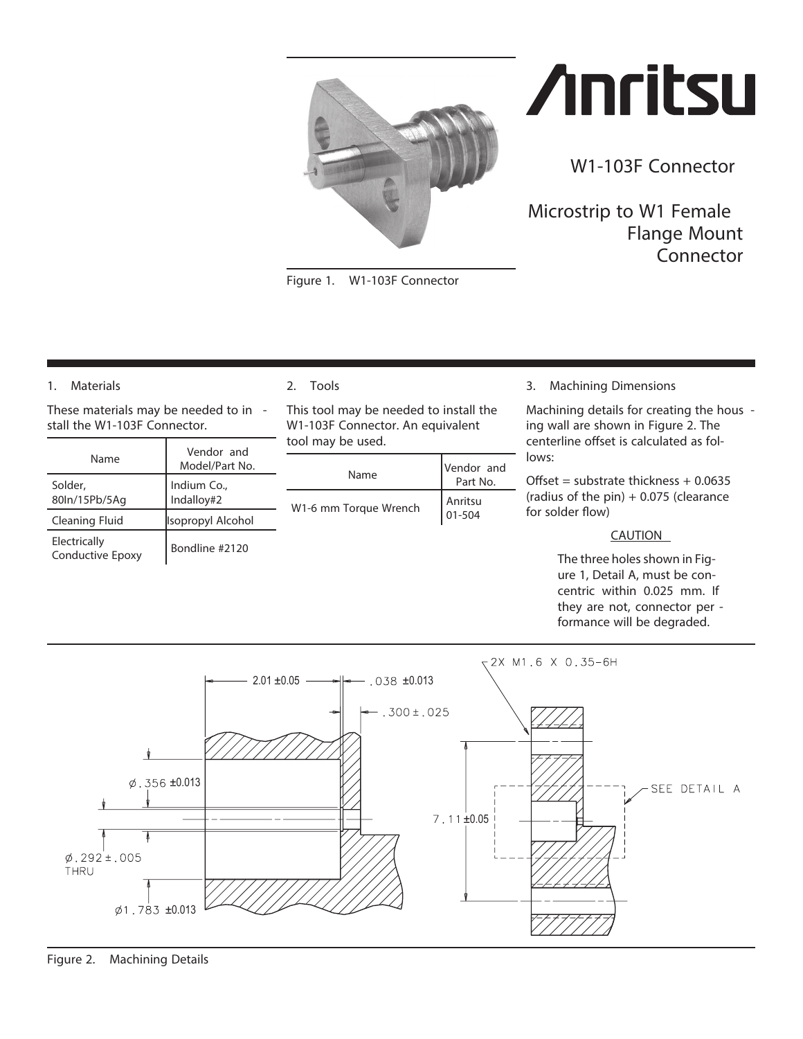<span id="page-0-0"></span>

*Figure 1. W1-103F Connector*

# **Anritsu**

**W1-103F Connector**

**Microstrip to W1 Female Flange Mount Connector**

# **1.** *Materials*

These materials may be needed to in stall the W1-103F Connector.

| Name                                    | Vendor and<br>Model/Part No. |
|-----------------------------------------|------------------------------|
| Solder,<br>80ln/15Pb/5Aq                | Indium Co.,<br>Indalloy#2    |
| Cleaning Fluid                          | <b>Isopropyl Alcohol</b>     |
| Electrically<br><b>Conductive Epoxy</b> | Bondline #2120               |

### **2.** *Tools*

This tool may be needed to install the W1-103F Connector. An equivalent tool may be used.

| Name                  | Vendor and<br>Part No. |
|-----------------------|------------------------|
| W1-6 mm Torque Wrench | Anritsu<br>01-504      |

**3.** *Machining Dimensions*

Machining details for creating the hous ing wall are shown in Figure [2. T](#page-0-0)he centerline offset is calculated as follows:

Offset = substrate thickness +  $0.0635$ (radius of the pin)  $+$  0.075 (clearance for solder flow)

### **CAUTION**

The three holes shown in Figure 1, Detail A, must be concentric within 0.025 mm. If they are not, connector per formance will be degraded.